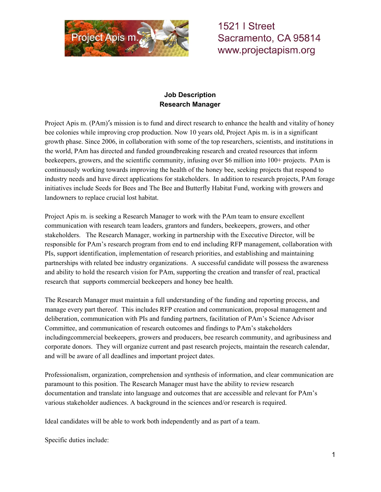

**1521 | Street** Sacramento, CA 95814 www.projectapism.org

## **Job Description Research Manager**

Project Apis m. (PAm)'s mission is to fund and direct research to enhance the health and vitality of honey bee colonies while improving crop production. Now 10 years old, Project Apis m. is in a significant growth phase. Since 2006, in collaboration with some of the top researchers, scientists, and institutions in the world, PAm has directed and funded groundbreaking research and created resources that inform beekeepers, growers, and the scientific community, infusing over \$6 million into 100+ projects. PAm is continuously working towards improving the health of the honey bee, seeking projects that respond to industry needs and have direct applications for stakeholders. In addition to research projects, PAm forage initiatives include Seeds for Bees and The Bee and Butterfly Habitat Fund, working with growers and landowners to replace crucial lost habitat.

Project Apis m. is seeking a Research Manager to work with the PAm team to ensure excellent communication with research team leaders, grantors and funders, beekeepers, growers, and other stakeholders. The Research Manager, working in partnership with the Executive Director, will be responsible for PAm's research program from end to end including RFP management, collaboration with PIs, support identification, implementation of research priorities, and establishing and maintaining partnerships with related bee industry organizations. A successful candidate will possess the awareness and ability to hold the research vision for PAm, supporting the creation and transfer of real, practical research that supports commercial beekeepers and honey bee health.

The Research Manager must maintain a full understanding of the funding and reporting process, and manage every part thereof. This includes RFP creation and communication, proposal management and deliberation, communication with PIs and funding partners, facilitation of PAm's Science Advisor Committee, and communication of research outcomes and findings to PAm's stakeholders includingcommercial beekeepers, growers and producers, bee research community, and agribusiness and corporate donors. They will organize current and past research projects, maintain the research calendar, and will be aware of all deadlines and important project dates.

Professionalism, organization, comprehension and synthesis of information, and clear communication are paramount to this position. The Research Manager must have the ability to review research documentation and translate into language and outcomes that are accessible and relevant for PAm's various stakeholder audiences. A background in the sciences and/or research is required.

Ideal candidates will be able to work both independently and as part of a team.

Specific duties include: